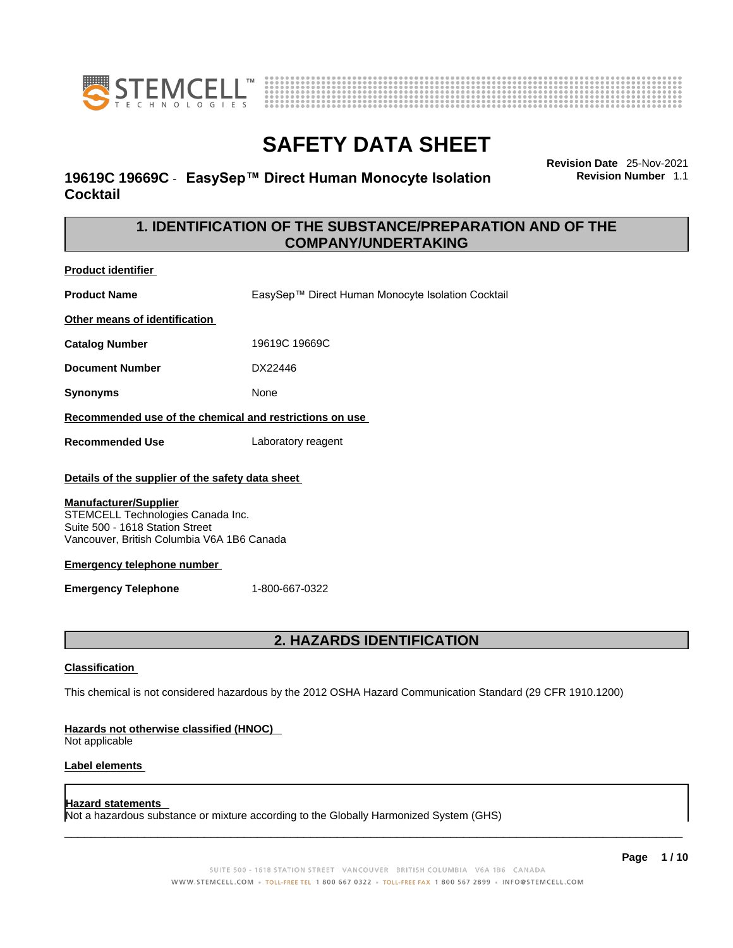



### **19619C 19669C** - **EasySep™ Direct Human Monocyte Isolation Cocktail**

**Revision Date** 25-Nov-2021 **Revision Number** 1.1

### **1. IDENTIFICATION OF THE SUBSTANCE/PREPARATION AND OF THE COMPANY/UNDERTAKING**

**Product identifier**

**Product Name** EasySep™ Direct Human Monocyte Isolation Cocktail

**Other means of identification**

**Catalog Number** 19619C 19669C

**Document Number** DX22446

**Synonyms** None

**Recommended use of the chemical and restrictions on use**

**Recommended Use** Laboratory reagent

#### **Details of the supplier of the safety data sheet**

#### **Manufacturer/Supplier**

STEMCELL Technologies Canada Inc. Suite 500 - 1618 Station Street Vancouver, British Columbia V6A 1B6 Canada

#### **Emergency telephone number**

**Emergency Telephone** 1-800-667-0322

### **2. HAZARDS IDENTIFICATION**

#### **Classification**

This chemical is not considered hazardous by the 2012 OSHA Hazard Communication Standard (29 CFR 1910.1200)

#### **Hazards not otherwise classified (HNOC)**

Not applicable

#### **Label elements**

#### **Hazard statements**

Not a hazardous substance or mixture according to the Globally Harmonized System (GHS)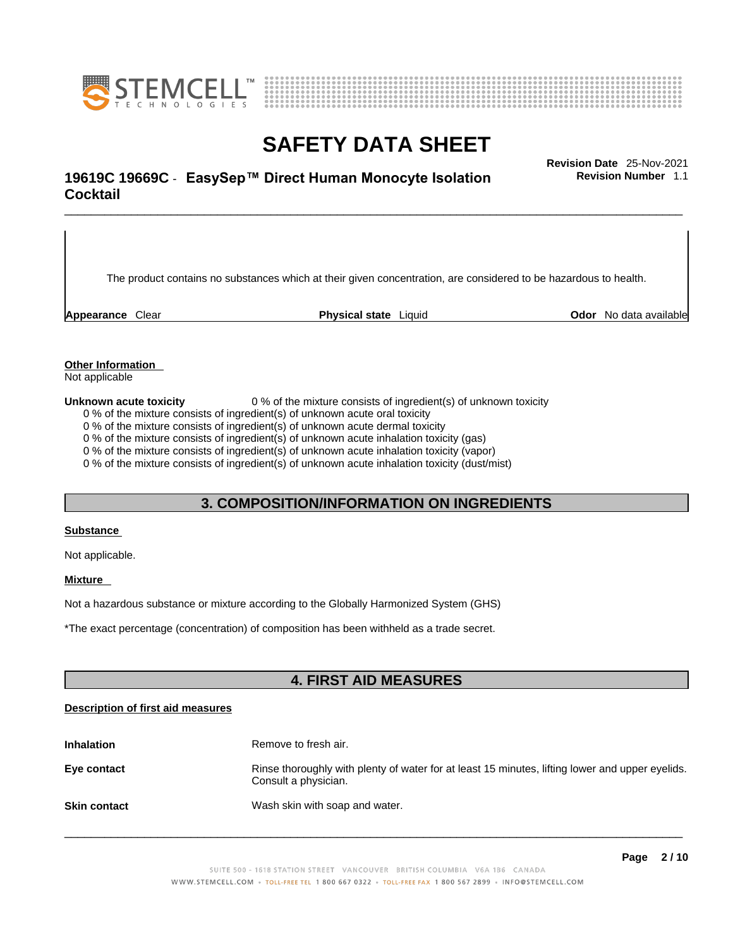



## \_\_\_\_\_\_\_\_\_\_\_\_\_\_\_\_\_\_\_\_\_\_\_\_\_\_\_\_\_\_\_\_\_\_\_\_\_\_\_\_\_\_\_\_\_\_\_\_\_\_\_\_\_\_\_\_\_\_\_\_\_\_\_\_\_\_\_\_\_\_\_\_\_\_\_\_\_\_\_\_\_\_\_\_\_\_\_\_\_\_\_\_\_ **Revision Date** 25-Nov-2021 **19619C 19669C** - **EasySep™ Direct Human Monocyte Isolation Cocktail**

The product contains no substances which at their given concentration, are considered to be hazardous to health.

**Appearance** Clear **Physical state** Liquid **Odor** No data available

**Revision Number** 1.1

**Other Information** 

Not applicable

**Unknown acute toxicity** 0 % of the mixture consists of ingredient(s) of unknown toxicity

0 % of the mixture consists of ingredient(s) of unknown acute oral toxicity

0 % of the mixture consists of ingredient(s) of unknown acute dermal toxicity

0 % of the mixture consists of ingredient(s) of unknown acute inhalation toxicity (gas)

0 % of the mixture consists of ingredient(s) of unknown acute inhalation toxicity (vapor)

0 % of the mixture consists of ingredient(s) of unknown acute inhalation toxicity (dust/mist)

#### **3. COMPOSITION/INFORMATION ON INGREDIENTS**

#### **Substance**

Not applicable.

#### **Mixture**

Not a hazardous substance or mixture according to the Globally Harmonized System (GHS)

\*The exact percentage (concentration) ofcomposition has been withheld as a trade secret.

### **4. FIRST AID MEASURES**

#### **Description of first aid measures**

| <b>Inhalation</b>   | Remove to fresh air.                                                                                                    |
|---------------------|-------------------------------------------------------------------------------------------------------------------------|
| Eye contact         | Rinse thoroughly with plenty of water for at least 15 minutes, lifting lower and upper eyelids.<br>Consult a physician. |
| <b>Skin contact</b> | Wash skin with soap and water.                                                                                          |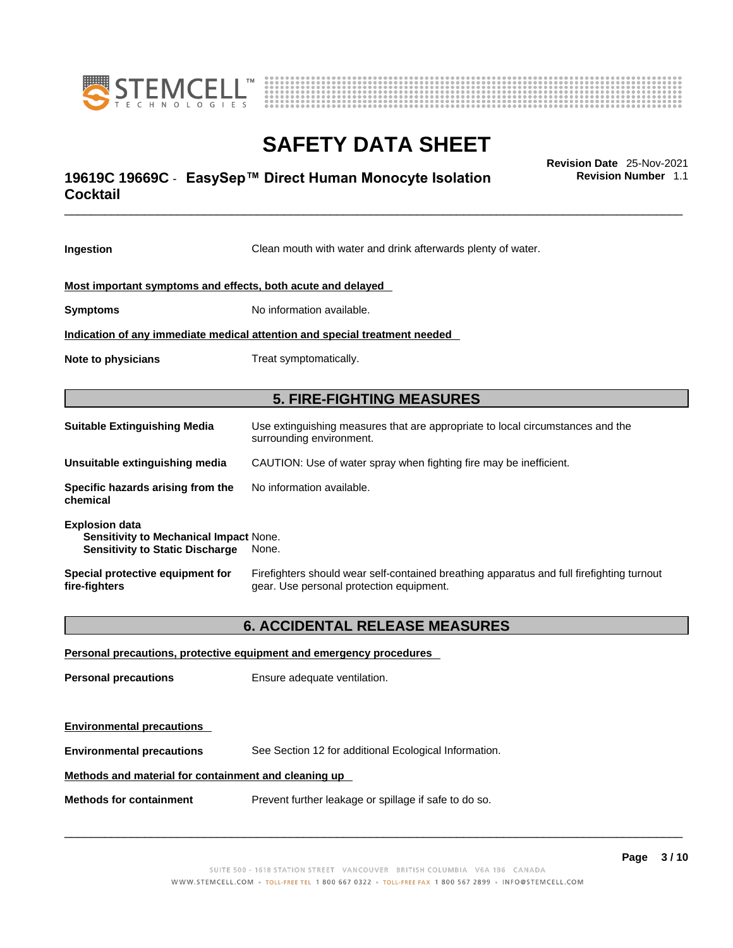



## \_\_\_\_\_\_\_\_\_\_\_\_\_\_\_\_\_\_\_\_\_\_\_\_\_\_\_\_\_\_\_\_\_\_\_\_\_\_\_\_\_\_\_\_\_\_\_\_\_\_\_\_\_\_\_\_\_\_\_\_\_\_\_\_\_\_\_\_\_\_\_\_\_\_\_\_\_\_\_\_\_\_\_\_\_\_\_\_\_\_\_\_\_ **Revision Date** 25-Nov-2021 **19619C 19669C** - **EasySep™ Direct Human Monocyte Isolation Cocktail**

**Revision Number** 1.1

| Ingestion                                                                                                 | Clean mouth with water and drink afterwards plenty of water.                                                                          |  |
|-----------------------------------------------------------------------------------------------------------|---------------------------------------------------------------------------------------------------------------------------------------|--|
| Most important symptoms and effects, both acute and delayed                                               |                                                                                                                                       |  |
| <b>Symptoms</b>                                                                                           | No information available.                                                                                                             |  |
|                                                                                                           | Indication of any immediate medical attention and special treatment needed                                                            |  |
| Note to physicians                                                                                        | Treat symptomatically.                                                                                                                |  |
|                                                                                                           | <b>5. FIRE-FIGHTING MEASURES</b>                                                                                                      |  |
| <b>Suitable Extinguishing Media</b>                                                                       | Use extinguishing measures that are appropriate to local circumstances and the<br>surrounding environment.                            |  |
| Unsuitable extinguishing media                                                                            | CAUTION: Use of water spray when fighting fire may be inefficient.                                                                    |  |
| Specific hazards arising from the<br>chemical                                                             | No information available.                                                                                                             |  |
| <b>Explosion data</b><br>Sensitivity to Mechanical Impact None.<br><b>Sensitivity to Static Discharge</b> | None.                                                                                                                                 |  |
| Special protective equipment for<br>fire-fighters                                                         | Firefighters should wear self-contained breathing apparatus and full firefighting turnout<br>gear. Use personal protection equipment. |  |
| <b>6. ACCIDENTAL RELEASE MEASURES</b>                                                                     |                                                                                                                                       |  |
| Personal precautions, protective equipment and emergency procedures                                       |                                                                                                                                       |  |
| <b>Personal precautions</b>                                                                               | Ensure adequate ventilation.                                                                                                          |  |
| <b>Environmental precautions</b>                                                                          |                                                                                                                                       |  |
| <b>Environmental precautions</b>                                                                          | See Section 12 for additional Ecological Information.                                                                                 |  |
| Methods and material for containment and cleaning up                                                      |                                                                                                                                       |  |
| <b>Methods for containment</b>                                                                            | Prevent further leakage or spillage if safe to do so.                                                                                 |  |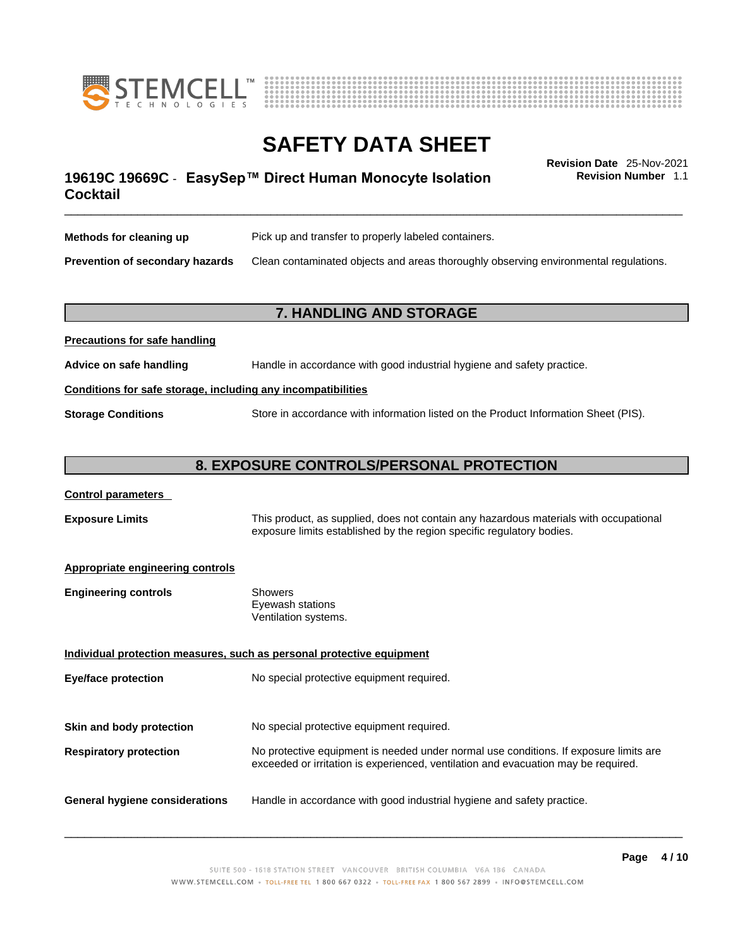



## \_\_\_\_\_\_\_\_\_\_\_\_\_\_\_\_\_\_\_\_\_\_\_\_\_\_\_\_\_\_\_\_\_\_\_\_\_\_\_\_\_\_\_\_\_\_\_\_\_\_\_\_\_\_\_\_\_\_\_\_\_\_\_\_\_\_\_\_\_\_\_\_\_\_\_\_\_\_\_\_\_\_\_\_\_\_\_\_\_\_\_\_\_ **Revision Date** 25-Nov-2021 **19619C 19669C** - **EasySep™ Direct Human Monocyte Isolation Cocktail**

**Revision Number** 1.1

| Methods for cleaning up         | Pick up and transfer to properly labeled containers.                                 |
|---------------------------------|--------------------------------------------------------------------------------------|
| Prevention of secondary hazards | Clean contaminated objects and areas thoroughly observing environmental regulations. |

### **7. HANDLING AND STORAGE**

| Advice on safe handling                                      | Handle in accordance with good industrial hygiene and safety practice.              |  |
|--------------------------------------------------------------|-------------------------------------------------------------------------------------|--|
| Conditions for safe storage, including any incompatibilities |                                                                                     |  |
| <b>Storage Conditions</b>                                    | Store in accordance with information listed on the Product Information Sheet (PIS). |  |

### **8. EXPOSURE CONTROLS/PERSONAL PROTECTION**

| <b>Control parameters</b> |
|---------------------------|
|---------------------------|

**Precautions for safe handling**

**Exposure Limits** This product, as supplied, does not contain any hazardous materials with occupational exposure limits established by the region specific regulatory bodies.

#### **Appropriate engineering controls**

| <b>Engineering controls</b> | Showers              |  |
|-----------------------------|----------------------|--|
|                             | Eyewash stations     |  |
|                             | Ventilation systems. |  |
|                             |                      |  |

**Individual protection measures, such as personal protective equipment Eye/face protection** No special protective equipment required. **Skin and body protection** No special protective equipment required. **Respiratory protection** No protective equipment is needed under normal use conditions. If exposure limits are exceeded or irritation is experienced, ventilation and evacuation may be required. **General hygiene considerations** Handle in accordance with good industrial hygiene and safety practice.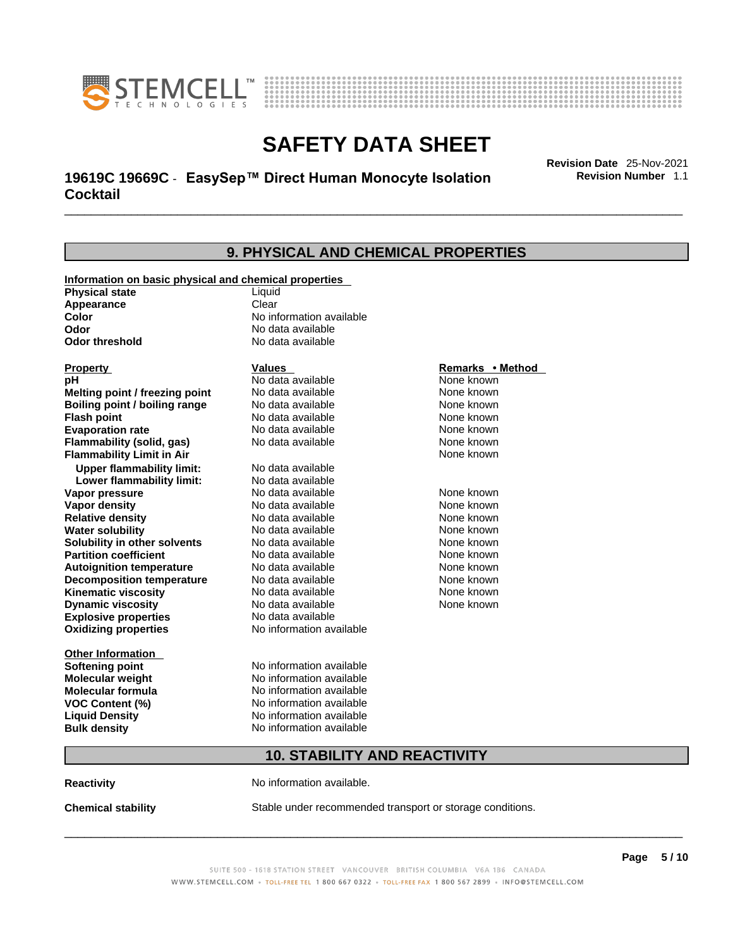



## \_\_\_\_\_\_\_\_\_\_\_\_\_\_\_\_\_\_\_\_\_\_\_\_\_\_\_\_\_\_\_\_\_\_\_\_\_\_\_\_\_\_\_\_\_\_\_\_\_\_\_\_\_\_\_\_\_\_\_\_\_\_\_\_\_\_\_\_\_\_\_\_\_\_\_\_\_\_\_\_\_\_\_\_\_\_\_\_\_\_\_\_\_ **Revision Date** 25-Nov-2021 **19619C 19669C** - **EasySep™ Direct Human Monocyte Isolation Cocktail**

**Revision Number** 1.1

| 9. PHYSICAL AND CHEMICAL PROPERTIES                                            |                                     |                  |  |
|--------------------------------------------------------------------------------|-------------------------------------|------------------|--|
|                                                                                |                                     |                  |  |
| Information on basic physical and chemical properties<br><b>Physical state</b> | Liquid                              |                  |  |
| Appearance                                                                     | Clear                               |                  |  |
| Color                                                                          | No information available            |                  |  |
| Odor                                                                           | No data available                   |                  |  |
| <b>Odor threshold</b>                                                          | No data available                   |                  |  |
| <b>Property</b>                                                                | Values                              | Remarks • Method |  |
| рH                                                                             | No data available                   | None known       |  |
| Melting point / freezing point                                                 | No data available                   | None known       |  |
| <b>Boiling point / boiling range</b>                                           | No data available                   | None known       |  |
| <b>Flash point</b>                                                             | No data available                   | None known       |  |
| <b>Evaporation rate</b>                                                        | No data available                   | None known       |  |
| <b>Flammability (solid, gas)</b>                                               | No data available                   | None known       |  |
| <b>Flammability Limit in Air</b>                                               |                                     | None known       |  |
| <b>Upper flammability limit:</b>                                               | No data available                   |                  |  |
| Lower flammability limit:                                                      | No data available                   |                  |  |
| Vapor pressure                                                                 | No data available                   | None known       |  |
| <b>Vapor density</b>                                                           | No data available                   | None known       |  |
| <b>Relative density</b>                                                        | No data available                   | None known       |  |
| <b>Water solubility</b>                                                        | No data available                   | None known       |  |
| Solubility in other solvents                                                   | No data available                   | None known       |  |
| <b>Partition coefficient</b>                                                   | No data available                   | None known       |  |
| <b>Autoignition temperature</b>                                                | No data available                   | None known       |  |
| <b>Decomposition temperature</b>                                               | No data available                   | None known       |  |
| <b>Kinematic viscosity</b>                                                     | No data available                   | None known       |  |
| <b>Dynamic viscosity</b>                                                       | No data available                   | None known       |  |
| <b>Explosive properties</b>                                                    | No data available                   |                  |  |
| <b>Oxidizing properties</b>                                                    | No information available            |                  |  |
| <b>Other Information</b>                                                       |                                     |                  |  |
| <b>Softening point</b>                                                         | No information available            |                  |  |
| <b>Molecular weight</b>                                                        | No information available            |                  |  |
| <b>Molecular formula</b>                                                       | No information available            |                  |  |
| <b>VOC Content (%)</b>                                                         | No information available            |                  |  |
| <b>Liquid Density</b>                                                          | No information available            |                  |  |
| <b>Bulk density</b>                                                            | No information available            |                  |  |
|                                                                                | <b>10. STABILITY AND REACTIVITY</b> |                  |  |
|                                                                                |                                     |                  |  |

**Reactivity No information available.** 

**Chemical stability** Stable under recommended transport or storage conditions.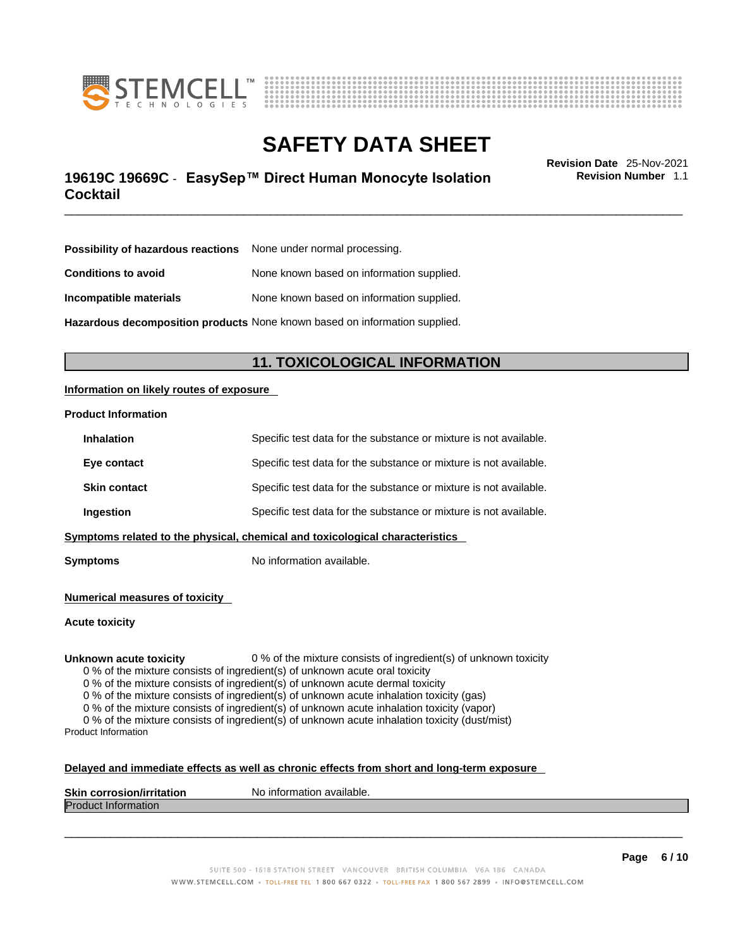



## \_\_\_\_\_\_\_\_\_\_\_\_\_\_\_\_\_\_\_\_\_\_\_\_\_\_\_\_\_\_\_\_\_\_\_\_\_\_\_\_\_\_\_\_\_\_\_\_\_\_\_\_\_\_\_\_\_\_\_\_\_\_\_\_\_\_\_\_\_\_\_\_\_\_\_\_\_\_\_\_\_\_\_\_\_\_\_\_\_\_\_\_\_ **Revision Date** 25-Nov-2021 **19619C 19669C** - **EasySep™ Direct Human Monocyte Isolation Cocktail**

**Revision Number** 1.1

| <b>Possibility of hazardous reactions</b> None under normal processing.    |                                           |  |
|----------------------------------------------------------------------------|-------------------------------------------|--|
| <b>Conditions to avoid</b>                                                 | None known based on information supplied. |  |
| Incompatible materials                                                     | None known based on information supplied. |  |
| Hazardous decomposition products None known based on information supplied. |                                           |  |

### **11. TOXICOLOGICAL INFORMATION**

#### **Information on likely routes of exposure**

#### **Product Information**

| Ingestion           | Specific test data for the substance or mixture is not available. |
|---------------------|-------------------------------------------------------------------|
| <b>Skin contact</b> | Specific test data for the substance or mixture is not available. |
| Eye contact         | Specific test data for the substance or mixture is not available. |
| <b>Inhalation</b>   | Specific test data for the substance or mixture is not available. |

**Symptoms** No information available.

**Numerical measures of toxicity**

**Acute toxicity**

**Unknown acute toxicity** 0 % of the mixture consists of ingredient(s) of unknown toxicity

0 % of the mixture consists of ingredient(s) of unknown acute oral toxicity

0 % of the mixture consists of ingredient(s) of unknown acute dermal toxicity

0 % of the mixture consists of ingredient(s) of unknown acute inhalation toxicity (gas)

0 % of the mixture consists of ingredient(s) of unknown acute inhalation toxicity (vapor)

0 % of the mixture consists of ingredient(s) of unknown acute inhalation toxicity (dust/mist) Product Information

#### **Delayed and immediate effects as well as chronic effects from short and long-term exposure**

| <b>Skin corrosion/irritation</b> | No information available. |
|----------------------------------|---------------------------|
| Product.<br><b>Information</b>   |                           |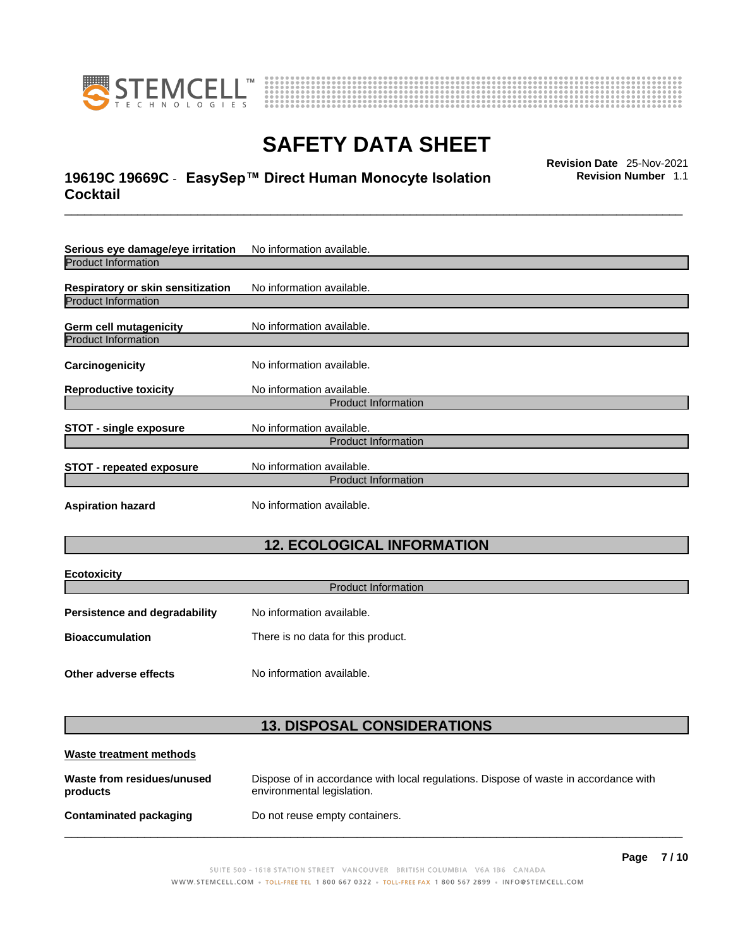

**Ecotoxicity** 



# **SAFETY DATA SHEET**

## \_\_\_\_\_\_\_\_\_\_\_\_\_\_\_\_\_\_\_\_\_\_\_\_\_\_\_\_\_\_\_\_\_\_\_\_\_\_\_\_\_\_\_\_\_\_\_\_\_\_\_\_\_\_\_\_\_\_\_\_\_\_\_\_\_\_\_\_\_\_\_\_\_\_\_\_\_\_\_\_\_\_\_\_\_\_\_\_\_\_\_\_\_ **Revision Date** 25-Nov-2021 **19619C 19669C** - **EasySep™ Direct Human Monocyte Isolation Cocktail**

**Revision Number** 1.1

| Serious eye damage/eye irritation | No information available.                               |
|-----------------------------------|---------------------------------------------------------|
| <b>Product Information</b>        |                                                         |
| Respiratory or skin sensitization | No information available.                               |
| <b>Product Information</b>        |                                                         |
| Germ cell mutagenicity            | No information available.                               |
| <b>Product Information</b>        |                                                         |
| Carcinogenicity                   | No information available.                               |
| <b>Reproductive toxicity</b>      | No information available.                               |
|                                   | <b>Product Information</b>                              |
| <b>STOT - single exposure</b>     | No information available.                               |
|                                   | <b>Product Information</b>                              |
| <b>STOT - repeated exposure</b>   | No information available.<br><b>Product Information</b> |
| <b>Aspiration hazard</b>          | No information available.                               |

### **12. ECOLOGICAL INFORMATION**

| ECOLOXICITY<br><b>Product Information</b> |                                    |
|-------------------------------------------|------------------------------------|
| <b>Persistence and degradability</b>      | No information available.          |
| <b>Bioaccumulation</b>                    | There is no data for this product. |
| Other adverse effects                     | No information available.          |

### **13. DISPOSAL CONSIDERATIONS**

| Waste treatment methods                |                                                                                                                    |
|----------------------------------------|--------------------------------------------------------------------------------------------------------------------|
| Waste from residues/unused<br>products | Dispose of in accordance with local regulations. Dispose of waste in accordance with<br>environmental legislation. |
| Contaminated packaging                 | Do not reuse empty containers.                                                                                     |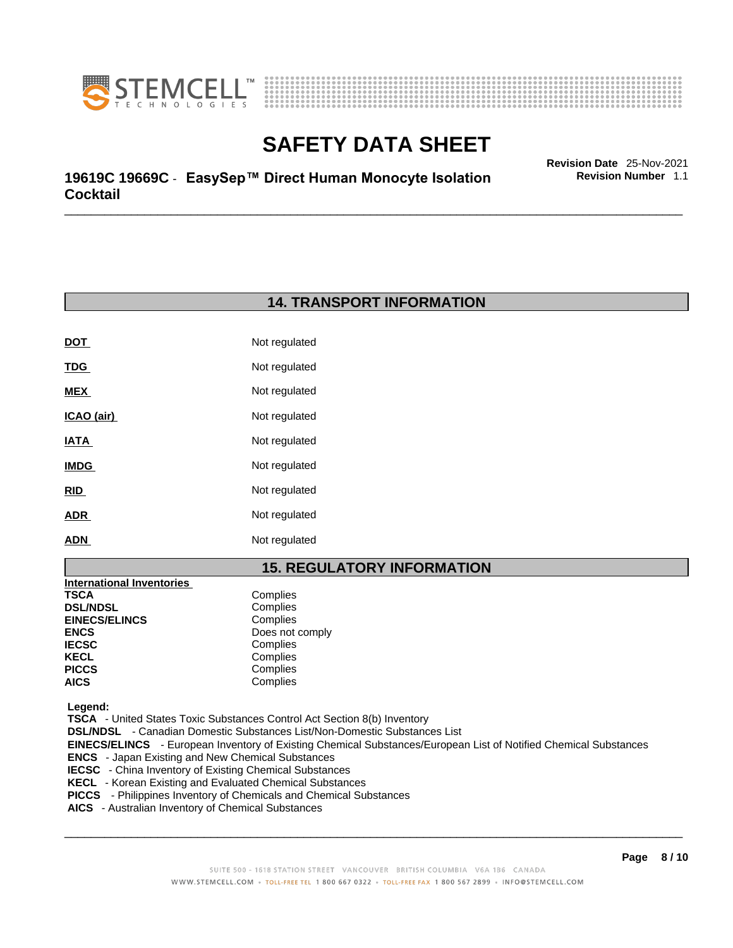



\_\_\_\_\_\_\_\_\_\_\_\_\_\_\_\_\_\_\_\_\_\_\_\_\_\_\_\_\_\_\_\_\_\_\_\_\_\_\_\_\_\_\_\_\_\_\_\_\_\_\_\_\_\_\_\_\_\_\_\_\_\_\_\_\_\_\_\_\_\_\_\_\_\_\_\_\_\_\_\_\_\_\_\_\_\_\_\_\_\_\_\_\_ **Revision Date** 25-Nov-2021 **19619C 19669C** - **EasySep™ Direct Human Monocyte Isolation Cocktail** 

**Revision Number** 1.1

### **14. TRANSPORT INFORMATION**

| DOT         | Not regulated |
|-------------|---------------|
| <b>TDG</b>  | Not regulated |
| <b>MEX</b>  | Not regulated |
| ICAO (air)  | Not regulated |
| IATA        | Not regulated |
| <b>IMDG</b> | Not regulated |
| RID         | Not regulated |
| ADR         | Not regulated |
| ADN         | Not regulated |

### **15. REGULATORY INFORMATION**

| <b>International Inventories</b> |                 |
|----------------------------------|-----------------|
| TSCA                             | Complies        |
| <b>DSL/NDSL</b>                  | Complies        |
| <b>EINECS/ELINCS</b>             | Complies        |
| ENCS                             | Does not comply |
| <b>IECSC</b>                     | Complies        |
| KECL                             | Complies        |
| PICCS                            | Complies        |
| AICS                             | Complies        |
|                                  |                 |

 **Legend:** 

 **TSCA** - United States Toxic Substances Control Act Section 8(b) Inventory

 **DSL/NDSL** - Canadian Domestic Substances List/Non-Domestic Substances List

 **EINECS/ELINCS** - European Inventory of Existing Chemical Substances/European List of Notified Chemical Substances

- **ENCS**  Japan Existing and New Chemical Substances
- **IECSC**  China Inventory of Existing Chemical Substances
- **KECL**  Korean Existing and Evaluated Chemical Substances
- **PICCS**  Philippines Inventory of Chemicals and Chemical Substances
- **AICS**  Australian Inventory of Chemical Substances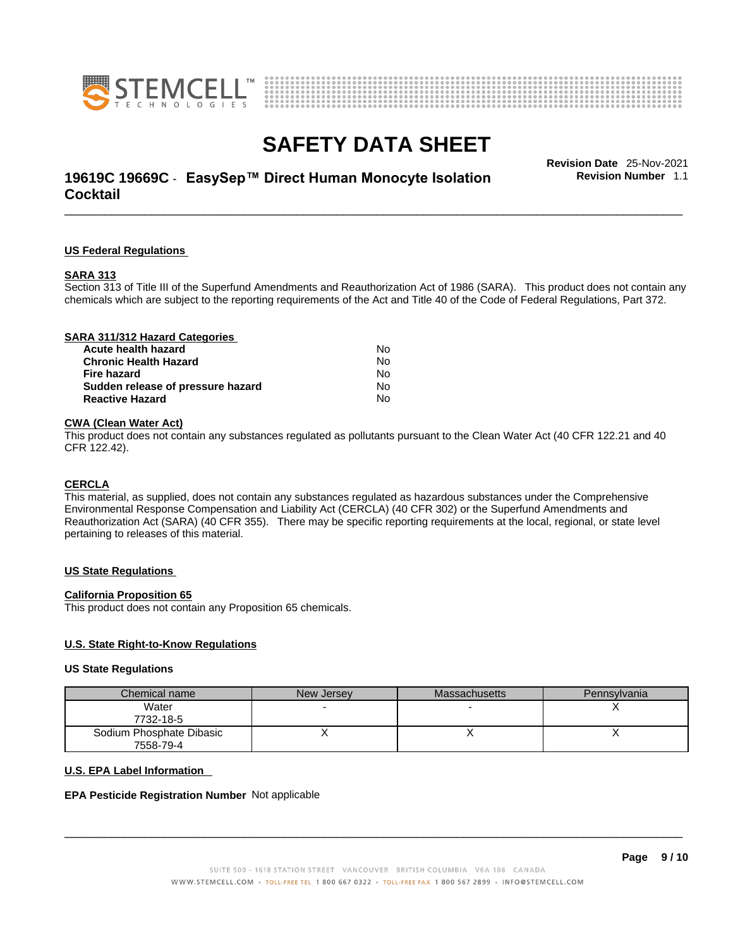



## \_\_\_\_\_\_\_\_\_\_\_\_\_\_\_\_\_\_\_\_\_\_\_\_\_\_\_\_\_\_\_\_\_\_\_\_\_\_\_\_\_\_\_\_\_\_\_\_\_\_\_\_\_\_\_\_\_\_\_\_\_\_\_\_\_\_\_\_\_\_\_\_\_\_\_\_\_\_\_\_\_\_\_\_\_\_\_\_\_\_\_\_\_ **Revision Date** 25-Nov-2021 **19619C 19669C** - **EasySep™ Direct Human Monocyte Isolation Cocktail**

**Revision Number** 1.1

#### **US Federal Regulations**

#### **SARA 313**

Section 313 of Title III of the Superfund Amendments and Reauthorization Act of 1986 (SARA). This product does not contain any chemicals which are subject to the reporting requirements of the Act and Title 40 of the Code of Federal Regulations, Part 372.

| SARA 311/312 Hazard Categories    |    |  |
|-----------------------------------|----|--|
| Acute health hazard               | N٥ |  |
| <b>Chronic Health Hazard</b>      | No |  |
| Fire hazard                       | No |  |
| Sudden release of pressure hazard | No |  |
| <b>Reactive Hazard</b>            | No |  |
|                                   |    |  |

#### **CWA** (Clean Water Act)

This product does not contain any substances regulated as pollutants pursuant to the Clean Water Act (40 CFR 122.21 and 40 CFR 122.42).

#### **CERCLA**

This material, as supplied, does not contain any substances regulated as hazardous substances under the Comprehensive Environmental Response Compensation and Liability Act (CERCLA) (40 CFR 302) or the Superfund Amendments and Reauthorization Act (SARA) (40 CFR 355). There may be specific reporting requirements at the local, regional, or state level pertaining to releases of this material.

#### **US State Regulations**

#### **California Proposition 65**

This product does not contain any Proposition 65 chemicals.

#### **U.S. State Right-to-Know Regulations**

#### **US State Regulations**

| Chemical name            | New Jersey | <b>Massachusetts</b> | Pennsylvania |
|--------------------------|------------|----------------------|--------------|
| Water                    |            |                      |              |
| 7732-18-5                |            |                      |              |
| Sodium Phosphate Dibasic |            |                      |              |
| 7558-79-4                |            |                      |              |

#### **U.S. EPA Label Information**

#### **EPA Pesticide Registration Number** Not applicable